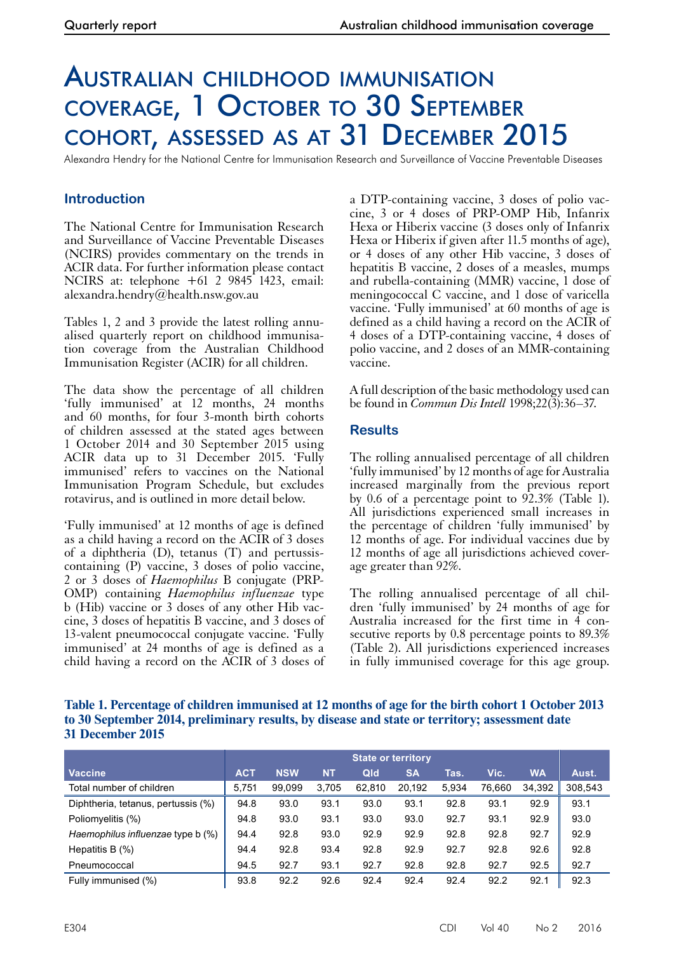# Australian childhood immunisation coverage, 1 October to 30 September cohort, assessed as at 31 December 2015

Alexandra Hendry for the National Centre for Immunisation Research and Surveillance of Vaccine Preventable Diseases

## **Introduction**

The National Centre for Immunisation Research and Surveillance of Vaccine Preventable Diseases (NCIRS) provides commentary on the trends in ACIR data. For further information please contact NCIRS at: telephone +61 2 9845 1423, email: alexandra.hendry@health.nsw.gov.au

Tables 1, 2 and 3 provide the latest rolling annualised quarterly report on childhood immunisation coverage from the Australian Childhood Immunisation Register (ACIR) for all children.

The data show the percentage of all children 'fully immunised' at 12 months, 24 months and 60 months, for four 3-month birth cohorts of children assessed at the stated ages between 1 October 2014 and 30 September 2015 using ACIR data up to 31 December 2015. 'Fully immunised' refers to vaccines on the National Immunisation Program Schedule, but excludes rotavirus, and is outlined in more detail below.

'Fully immunised' at 12 months of age is defined as a child having a record on the ACIR of 3 doses of a diphtheria (D), tetanus (T) and pertussiscontaining (P) vaccine, 3 doses of polio vaccine, 2 or 3 doses of *Haemophilus* B conjugate (PRP-OMP) containing *Haemophilus influenzae* type b (Hib) vaccine or 3 doses of any other Hib vac- cine, 3 doses of hepatitis B vaccine, and 3 doses of 13-valent pneumococcal conjugate vaccine. 'Fully immunised' at 24 months of age is defined as a child having a record on the ACIR of 3 doses of a DTP-containing vaccine, 3 doses of polio vaccine, 3 or 4 doses of PRP-OMP Hib, Infanrix Hexa or Hiberix vaccine (3 doses only of Infanrix Hexa or Hiberix if given after 11.5 months of age), or 4 doses of any other Hib vaccine, 3 doses of hepatitis B vaccine, 2 doses of a measles, mumps and rubella-containing (MMR) vaccine, 1 dose of meningococcal C vaccine, and 1 dose of varicella vaccine. 'Fully immunised' at 60 months of age is defined as a child having a record on the ACIR of 4 doses of a DTP-containing vaccine, 4 doses of polio vaccine, and 2 doses of an MMR-containing vaccine.

A full description of the basic methodology used can be found in *Commun Dis Intell* 1998;22(3):36–37.

### **Results**

The rolling annualised percentage of all children 'fully immunised' by 12 months of age for Australia increased marginally from the previous report by 0.6 of a percentage point to 92.3% (Table 1). All jurisdictions experienced small increases in the percentage of children 'fully immunised' by 12 months of age. For individual vaccines due by 12 months of age all jurisdictions achieved cover-<br>age greater than 92%.

The rolling annualised percentage of all chil- dren 'fully immunised' by 24 months of age for Australia increased for the first time in 4 con-<br>secutive reports by 0.8 percentage points to 89.3% (Table 2). All jurisdictions experienced increases in fully immunised coverage for this age group.

#### **Table 1. Percentage of children immunised at 12 months of age for the birth cohort 1 October 2013 to 30 September 2014, preliminary results, by disease and state or territory; assessment date 31 December 2015**

|                                    | <b>State or territory</b> |            |           |        |           |       |        |           |         |
|------------------------------------|---------------------------|------------|-----------|--------|-----------|-------|--------|-----------|---------|
| <b>Vaccine</b>                     | <b>ACT</b>                | <b>NSW</b> | <b>NT</b> | Qld    | <b>SA</b> | Tas.  | Vic.   | <b>WA</b> | Aust.   |
| Total number of children           | 5.751                     | 99.099     | 3.705     | 62,810 | 20,192    | 5.934 | 76.660 | 34.392    | 308,543 |
| Diphtheria, tetanus, pertussis (%) | 94.8                      | 93.0       | 93.1      | 93.0   | 93.1      | 92.8  | 93.1   | 92.9      | 93.1    |
| Poliomyelitis (%)                  | 94.8                      | 93.0       | 93.1      | 93.0   | 93.0      | 92.7  | 93.1   | 92.9      | 93.0    |
| Haemophilus influenzae type b (%)  | 94.4                      | 92.8       | 93.0      | 92.9   | 92.9      | 92.8  | 92.8   | 92.7      | 92.9    |
| Hepatitis B $(\%)$                 | 94.4                      | 92.8       | 93.4      | 92.8   | 92.9      | 92.7  | 92.8   | 92.6      | 92.8    |
| Pneumococcal                       | 94.5                      | 92.7       | 93.1      | 92.7   | 92.8      | 92.8  | 92.7   | 92.5      | 92.7    |
| Fully immunised (%)                | 93.8                      | 92.2       | 92.6      | 92.4   | 92.4      | 92.4  | 92.2   | 92.1      | 92.3    |